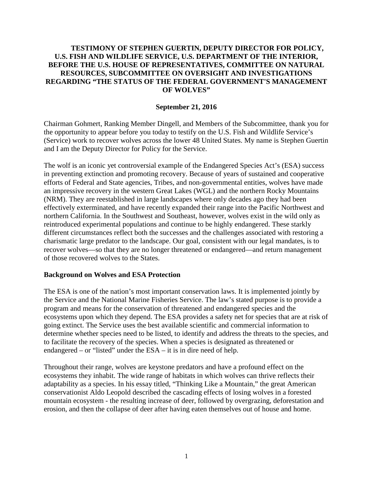# **TESTIMONY OF STEPHEN GUERTIN, DEPUTY DIRECTOR FOR POLICY, U.S. FISH AND WILDLIFE SERVICE, U.S. DEPARTMENT OF THE INTERIOR, BEFORE THE U.S. HOUSE OF REPRESENTATIVES, COMMITTEE ON NATURAL RESOURCES, SUBCOMMITTEE ON OVERSIGHT AND INVESTIGATIONS REGARDING "THE STATUS OF THE FEDERAL GOVERNMENT'S MANAGEMENT OF WOLVES"**

## **September 21, 2016**

Chairman Gohmert, Ranking Member Dingell, and Members of the Subcommittee, thank you for the opportunity to appear before you today to testify on the U.S. Fish and Wildlife Service's (Service) work to recover wolves across the lower 48 United States. My name is Stephen Guertin and I am the Deputy Director for Policy for the Service.

The wolf is an iconic yet controversial example of the Endangered Species Act's (ESA) success in preventing extinction and promoting recovery. Because of years of sustained and cooperative efforts of Federal and State agencies, Tribes, and non-governmental entities, wolves have made an impressive recovery in the western Great Lakes (WGL) and the northern Rocky Mountains (NRM). They are reestablished in large landscapes where only decades ago they had been effectively exterminated, and have recently expanded their range into the Pacific Northwest and northern California. In the Southwest and Southeast, however, wolves exist in the wild only as reintroduced experimental populations and continue to be highly endangered. These starkly different circumstances reflect both the successes and the challenges associated with restoring a charismatic large predator to the landscape. Our goal, consistent with our legal mandates, is to recover wolves—so that they are no longer threatened or endangered—and return management of those recovered wolves to the States.

#### **Background on Wolves and ESA Protection**

The ESA is one of the nation's most important conservation laws. It is implemented jointly by the Service and the National Marine Fisheries Service. The law's stated purpose is to provide a program and means for the conservation of threatened and endangered species and the ecosystems upon which they depend. The ESA provides a safety net for species that are at risk of going extinct. The Service uses the best available scientific and commercial information to determine whether species need to be listed, to identify and address the threats to the species, and to facilitate the recovery of the species. When a species is designated as threatened or endangered – or "listed" under the ESA – it is in dire need of help.

Throughout their range, wolves are keystone predators and have a profound effect on the ecosystems they inhabit. The wide range of habitats in which wolves can thrive reflects their adaptability as a species. In his essay titled, "Thinking Like a Mountain," the great American conservationist Aldo Leopold described the cascading effects of losing wolves in a forested mountain ecosystem - the resulting increase of deer, followed by overgrazing, deforestation and erosion, and then the collapse of deer after having eaten themselves out of house and home.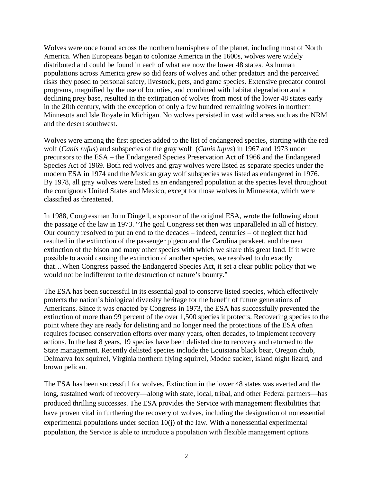Wolves were once found across the northern hemisphere of the planet, including most of North America. When Europeans began to colonize America in the 1600s, wolves were widely distributed and could be found in each of what are now the lower 48 states. As human populations across America grew so did fears of wolves and other predators and the perceived risks they posed to personal safety, livestock, pets, and game species. Extensive predator control programs, magnified by the use of bounties, and combined with habitat degradation and a declining prey base, resulted in the extirpation of wolves from most of the lower 48 states early in the 20th century, with the exception of only a few hundred remaining wolves in northern Minnesota and Isle Royale in Michigan. No wolves persisted in vast wild areas such as the NRM and the desert southwest.

Wolves were among the first species added to the list of endangered species, starting with the red wolf (*Canis rufus*) and subspecies of the gray wolf (*Canis lupus*) in 1967 and 1973 under precursors to the ESA – the Endangered Species Preservation Act of 1966 and the Endangered Species Act of 1969. Both red wolves and gray wolves were listed as separate species under the modern ESA in 1974 and the Mexican gray wolf subspecies was listed as endangered in 1976. By 1978, all gray wolves were listed as an endangered population at the species level throughout the contiguous United States and Mexico, except for those wolves in Minnesota, which were classified as threatened.

In 1988, Congressman John Dingell, a sponsor of the original ESA, wrote the following about the passage of the law in 1973. "The goal Congress set then was unparalleled in all of history. Our country resolved to put an end to the decades – indeed, centuries – of neglect that had resulted in the extinction of the passenger pigeon and the Carolina parakeet, and the near extinction of the bison and many other species with which we share this great land. If it were possible to avoid causing the extinction of another species, we resolved to do exactly that…When Congress passed the Endangered Species Act, it set a clear public policy that we would not be indifferent to the destruction of nature's bounty."

The ESA has been successful in its essential goal to conserve listed species, which effectively protects the nation's biological diversity heritage for the benefit of future generations of Americans. Since it was enacted by Congress in 1973, the ESA has successfully prevented the extinction of more than 99 percent of the over 1,500 species it protects. Recovering species to the point where they are ready for delisting and no longer need the protections of the ESA often requires focused conservation efforts over many years, often decades, to implement recovery actions. In the last 8 years, 19 species have been delisted due to recovery and returned to the State management. Recently delisted species include the Louisiana black bear, Oregon chub, Delmarva fox squirrel, Virginia northern flying squirrel, Modoc sucker, island night lizard, and brown pelican.

The ESA has been successful for wolves. Extinction in the lower 48 states was averted and the long, sustained work of recovery—along with state, local, tribal, and other Federal partners—has produced thrilling successes. The ESA provides the Service with management flexibilities that have proven vital in furthering the recovery of wolves, including the designation of nonessential experimental populations under section 10(j) of the law. With a nonessential experimental population, the Service is able to introduce a population with flexible management options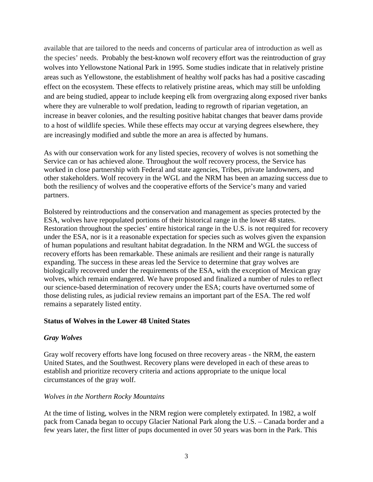available that are tailored to the needs and concerns of particular area of introduction as well as the species' needs. Probably the best-known wolf recovery effort was the reintroduction of gray wolves into Yellowstone National Park in 1995. Some studies indicate that in relatively pristine areas such as Yellowstone, the establishment of healthy wolf packs has had a positive cascading effect on the ecosystem. These effects to relatively pristine areas, which may still be unfolding and are being studied, appear to include keeping elk from overgrazing along exposed river banks where they are vulnerable to wolf predation, leading to regrowth of riparian vegetation, an increase in beaver colonies, and the resulting positive habitat changes that beaver dams provide to a host of wildlife species. While these effects may occur at varying degrees elsewhere, they are increasingly modified and subtle the more an area is affected by humans.

As with our conservation work for any listed species, recovery of wolves is not something the Service can or has achieved alone. Throughout the wolf recovery process, the Service has worked in close partnership with Federal and state agencies, Tribes, private landowners, and other stakeholders. Wolf recovery in the WGL and the NRM has been an amazing success due to both the resiliency of wolves and the cooperative efforts of the Service's many and varied partners.

Bolstered by reintroductions and the conservation and management as species protected by the ESA, wolves have repopulated portions of their historical range in the lower 48 states. Restoration throughout the species' entire historical range in the U.S. is not required for recovery under the ESA, nor is it a reasonable expectation for species such as wolves given the expansion of human populations and resultant habitat degradation. In the NRM and WGL the success of recovery efforts has been remarkable. These animals are resilient and their range is naturally expanding. The success in these areas led the Service to determine that gray wolves are biologically recovered under the requirements of the ESA, with the exception of Mexican gray wolves, which remain endangered. We have proposed and finalized a number of rules to reflect our science-based determination of recovery under the ESA; courts have overturned some of those delisting rules, as judicial review remains an important part of the ESA. The red wolf remains a separately listed entity.

## **Status of Wolves in the Lower 48 United States**

## *Gray Wolves*

Gray wolf recovery efforts have long focused on three recovery areas - the NRM, the eastern United States, and the Southwest. Recovery plans were developed in each of these areas to establish and prioritize recovery criteria and actions appropriate to the unique local circumstances of the gray wolf.

#### *Wolves in the Northern Rocky Mountains*

At the time of listing, wolves in the NRM region were completely extirpated. In 1982, a wolf pack from Canada began to occupy Glacier National Park along the U.S. – Canada border and a few years later, the first litter of pups documented in over 50 years was born in the Park. This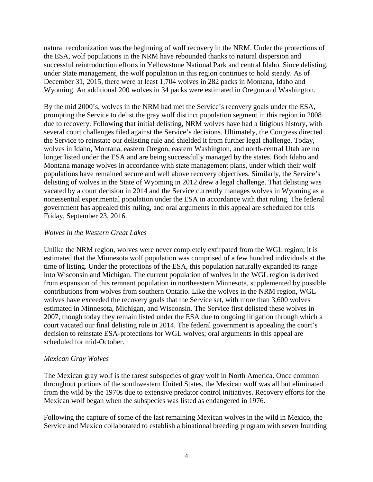natural recolonization was the beginning of wolf recovery in the NRM. Under the protections of the ESA, wolf populations in the NRM have rebounded thanks to natural dispersion and successful reintroduction efforts in Yellowstone National Park and central Idaho. Since delisting, under State management, the wolf population in this region continues to hold steady. As of December 31, 2015, there were at least 1,704 wolves in 282 packs in Montana, Idaho and Wyoming. An additional 200 wolves in 34 packs were estimated in Oregon and Washington.

By the mid 2000's, wolves in the NRM had met the Service's recovery goals under the ESA, prompting the Service to delist the gray wolf distinct population segment in this region in 2008 due to recovery. Following that initial delisting, NRM wolves have had a litigious history, with several court challenges filed against the Service's decisions. Ultimately, the Congress directed the Service to reinstate our delisting rule and shielded it from further legal challenge. Today, wolves in Idaho, Montana, eastern Oregon, eastern Washington, and north-central Utah are no longer listed under the ESA and are being successfully managed by the states. Both Idaho and Montana manage wolves in accordance with state management plans, under which their wolf populations have remained secure and well above recovery objectives. Similarly, the Service's delisting of wolves in the State of Wyoming in 2012 drew a legal challenge. That delisting was vacated by a court decision in 2014 and the Service currently manages wolves in Wyoming as a nonessential experimental population under the ESA in accordance with that ruling. The federal government has appealed this ruling, and oral arguments in this appeal are scheduled for this Friday, September 23, 2016.

# *Wolves in the Western Great Lakes*

Unlike the NRM region, wolves were never completely extirpated from the WGL region; it is estimated that the Minnesota wolf population was comprised of a few hundred individuals at the time of listing. Under the protections of the ESA, this population naturally expanded its range into Wisconsin and Michigan. The current population of wolves in the WGL region is derived from expansion of this remnant population in northeastern Minnesota, supplemented by possible contributions from wolves from southern Ontario. Like the wolves in the NRM region, WGL wolves have exceeded the recovery goals that the Service set, with more than 3,600 wolves estimated in Minnesota, Michigan, and Wisconsin. The Service first delisted these wolves in 2007, though today they remain listed under the ESA due to ongoing litigation through which a court vacated our final delisting rule in 2014. The federal government is appealing the court's decision to reinstate ESA-protections for WGL wolves; oral arguments in this appeal are scheduled for mid-October.

## *Mexican Gray Wolves*

The Mexican gray wolf is the rarest subspecies of gray wolf in North America. Once common throughout portions of the southwestern United States, the Mexican wolf was all but eliminated from the wild by the 1970s due to extensive predator control initiatives. Recovery efforts for the Mexican wolf began when the subspecies was listed as endangered in 1976.

Following the capture of some of the last remaining Mexican wolves in the wild in Mexico, the Service and Mexico collaborated to establish a binational breeding program with seven founding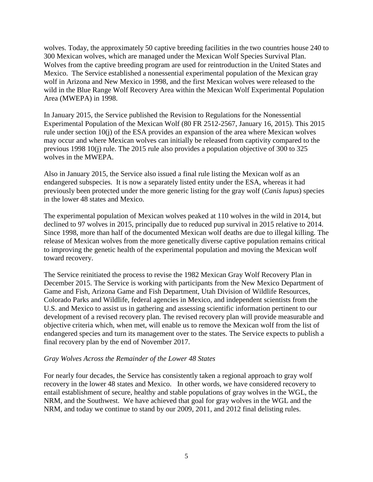wolves. Today, the approximately 50 captive breeding facilities in the two countries house 240 to 300 Mexican wolves, which are managed under the Mexican Wolf Species Survival Plan. Wolves from the captive breeding program are used for reintroduction in the United States and Mexico. The Service established a nonessential experimental population of the Mexican gray wolf in Arizona and New Mexico in 1998, and the first Mexican wolves were released to the wild in the Blue Range Wolf Recovery Area within the Mexican Wolf Experimental Population Area (MWEPA) in 1998.

In January 2015, the Service published the Revision to Regulations for the Nonessential Experimental Population of the Mexican Wolf (80 FR 2512-2567, January 16, 2015). This 2015 rule under section 10(j) of the ESA provides an expansion of the area where Mexican wolves may occur and where Mexican wolves can initially be released from captivity compared to the previous 1998 10(j) rule. The 2015 rule also provides a population objective of 300 to 325 wolves in the MWEPA.

Also in January 2015, the Service also issued a final rule listing the Mexican wolf as an endangered subspecies. It is now a separately listed entity under the ESA, whereas it had previously been protected under the more generic listing for the gray wolf (*Canis lupus*) species in the lower 48 states and Mexico.

The experimental population of Mexican wolves peaked at 110 wolves in the wild in 2014, but declined to 97 wolves in 2015, principally due to reduced pup survival in 2015 relative to 2014. Since 1998, more than half of the documented Mexican wolf deaths are due to illegal killing. The release of Mexican wolves from the more genetically diverse captive population remains critical to improving the genetic health of the experimental population and moving the Mexican wolf toward recovery.

The Service reinitiated the process to revise the 1982 Mexican Gray Wolf Recovery Plan in December 2015. The Service is working with participants from the New Mexico Department of Game and Fish, Arizona Game and Fish Department, Utah Division of Wildlife Resources, Colorado Parks and Wildlife, federal agencies in Mexico, and independent scientists from the U.S. and Mexico to assist us in gathering and assessing scientific information pertinent to our development of a revised recovery plan. The revised recovery plan will provide measurable and objective criteria which, when met, will enable us to remove the Mexican wolf from the list of endangered species and turn its management over to the states. The Service expects to publish a final recovery plan by the end of November 2017.

# *Gray Wolves Across the Remainder of the Lower 48 States*

For nearly four decades, the Service has consistently taken a regional approach to gray wolf recovery in the lower 48 states and Mexico. In other words, we have considered recovery to entail establishment of secure, healthy and stable populations of gray wolves in the WGL, the NRM, and the Southwest. We have achieved that goal for gray wolves in the WGL and the NRM, and today we continue to stand by our 2009, 2011, and 2012 final delisting rules.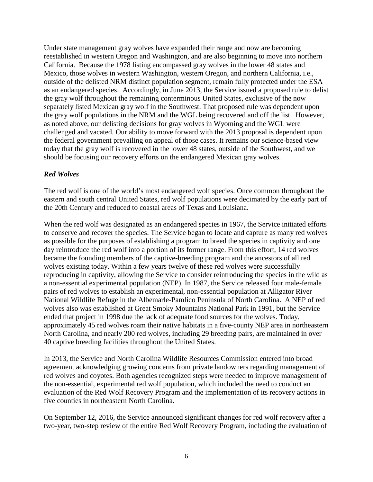Under state management gray wolves have expanded their range and now are becoming reestablished in western Oregon and Washington, and are also beginning to move into northern California. Because the 1978 listing encompassed gray wolves in the lower 48 states and Mexico, those wolves in western Washington, western Oregon, and northern California, i.e., outside of the delisted NRM distinct population segment, remain fully protected under the ESA as an endangered species. Accordingly, in June 2013, the Service issued a proposed rule to delist the gray wolf throughout the remaining conterminous United States, exclusive of the now separately listed Mexican gray wolf in the Southwest. That proposed rule was dependent upon the gray wolf populations in the NRM and the WGL being recovered and off the list. However, as noted above, our delisting decisions for gray wolves in Wyoming and the WGL were challenged and vacated. Our ability to move forward with the 2013 proposal is dependent upon the federal government prevailing on appeal of those cases. It remains our science-based view today that the gray wolf is recovered in the lower 48 states, outside of the Southwest, and we should be focusing our recovery efforts on the endangered Mexican gray wolves.

# *Red Wolves*

The red wolf is one of the world's most endangered wolf species. Once common throughout the eastern and south central United States, red wolf populations were decimated by the early part of the 20th Century and reduced to coastal areas of Texas and Louisiana.

When the red wolf was designated as an endangered species in 1967, the Service initiated efforts to conserve and recover the species. The Service began to locate and capture as many red wolves as possible for the purposes of establishing a program to breed the species in captivity and one day reintroduce the red wolf into a portion of its former range. From this effort, 14 red wolves became the founding members of the captive-breeding program and the ancestors of all red wolves existing today. Within a few years twelve of these red wolves were successfully reproducing in captivity, allowing the Service to consider reintroducing the species in the wild as a non-essential experimental population (NEP). In 1987, the Service released four male-female pairs of red wolves to establish an experimental, non-essential population at Alligator River National Wildlife Refuge in the Albemarle-Pamlico Peninsula of North Carolina. A NEP of red wolves also was established at Great Smoky Mountains National Park in 1991, but the Service ended that project in 1998 due the lack of adequate food sources for the wolves. Today, approximately 45 red wolves roam their native habitats in a five-county NEP area in northeastern North Carolina, and nearly 200 red wolves, including 29 breeding pairs, are maintained in over 40 captive breeding facilities throughout the United States.

In 2013, the Service and North Carolina Wildlife Resources Commission entered into broad agreement acknowledging growing concerns from private landowners regarding management of red wolves and coyotes. Both agencies recognized steps were needed to improve management of the non-essential, experimental red wolf population, which included the need to conduct an evaluation of the Red Wolf Recovery Program and the implementation of its recovery actions in five counties in northeastern North Carolina.

On September 12, 2016, the Service announced significant changes for red wolf recovery after a two-year, two-step review of the entire Red Wolf Recovery Program, including the evaluation of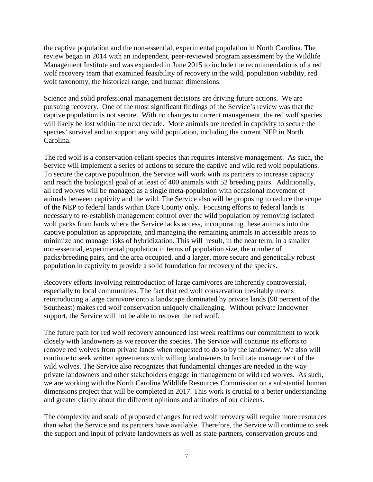the captive population and the non-essential, experimental population in North Carolina. The review began in 2014 with an independent, peer-reviewed program assessment by the Wildlife Management Institute and was expanded in June 2015 to include the recommendations of a red wolf recovery team that examined feasibility of recovery in the wild, population viability, red wolf taxonomy, the historical range, and human dimensions.

Science and solid professional management decisions are driving future actions. We are pursuing recovery. One of the most significant findings of the Service's review was that the captive population is not secure. With no changes to current management, the red wolf species will likely be lost within the next decade. More animals are needed in captivity to secure the species' survival and to support any wild population, including the current NEP in North Carolina.

The red wolf is a conservation-reliant species that requires intensive management. As such, the Service will implement a series of actions to secure the captive and wild red wolf populations. To secure the captive population, the Service will work with its partners to increase capacity and reach the biological goal of at least of 400 animals with 52 breeding pairs. Additionally, all red wolves will be managed as a single meta-population with occasional movement of animals between captivity and the wild. The Service also will be proposing to reduce the scope of the NEP to federal lands within Dare County only. Focusing efforts to federal lands is necessary to re-establish management control over the wild population by removing isolated wolf packs from lands where the Service lacks access, incorporating these animals into the captive population as appropriate, and managing the remaining animals in accessible areas to minimize and manage risks of hybridization. This will result, in the near term, in a smaller non-essential, experimental population in terms of population size, the number of packs/breeding pairs, and the area occupied, and a larger, more secure and genetically robust population in captivity to provide a solid foundation for recovery of the species.

Recovery efforts involving reintroduction of large carnivores are inherently controversial, especially to local communities. The fact that red wolf conservation inevitably means reintroducing a large carnivore onto a landscape dominated by private lands (90 percent of the Southeast) makes red wolf conservation uniquely challenging. Without private landowner support, the Service will not be able to recover the red wolf.

The future path for red wolf recovery announced last week reaffirms our commitment to work closely with landowners as we recover the species. The Service will continue its efforts to remove red wolves from private lands when requested to do so by the landowner. We also will continue to seek written agreements with willing landowners to facilitate management of the wild wolves. The Service also recognizes that fundamental changes are needed in the way private landowners and other stakeholders engage in management of wild red wolves. As such, we are working with the North Carolina Wildlife Resources Commission on a substantial human dimensions project that will be completed in 2017. This work is crucial to a better understanding and greater clarity about the different opinions and attitudes of our citizens.

The complexity and scale of proposed changes for red wolf recovery will require more resources than what the Service and its partners have available. Therefore, the Service will continue to seek the support and input of private landowners as well as state partners, conservation groups and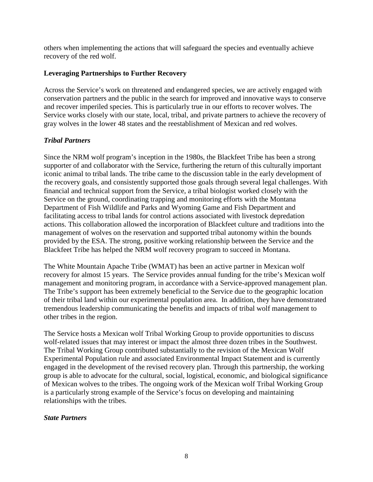others when implementing the actions that will safeguard the species and eventually achieve recovery of the red wolf.

# **Leveraging Partnerships to Further Recovery**

Across the Service's work on threatened and endangered species, we are actively engaged with conservation partners and the public in the search for improved and innovative ways to conserve and recover imperiled species. This is particularly true in our efforts to recover wolves. The Service works closely with our state, local, tribal, and private partners to achieve the recovery of gray wolves in the lower 48 states and the reestablishment of Mexican and red wolves.

# *Tribal Partners*

Since the NRM wolf program's inception in the 1980s, the Blackfeet Tribe has been a strong supporter of and collaborator with the Service, furthering the return of this culturally important iconic animal to tribal lands. The tribe came to the discussion table in the early development of the recovery goals, and consistently supported those goals through several legal challenges. With financial and technical support from the Service, a tribal biologist worked closely with the Service on the ground, coordinating trapping and monitoring efforts with the Montana Department of Fish Wildlife and Parks and Wyoming Game and Fish Department and facilitating access to tribal lands for control actions associated with livestock depredation actions. This collaboration allowed the incorporation of Blackfeet culture and traditions into the management of wolves on the reservation and supported tribal autonomy within the bounds provided by the ESA. The strong, positive working relationship between the Service and the Blackfeet Tribe has helped the NRM wolf recovery program to succeed in Montana.

The White Mountain Apache Tribe (WMAT) has been an active partner in Mexican wolf recovery for almost 15 years. The Service provides annual funding for the tribe's Mexican wolf management and monitoring program, in accordance with a Service-approved management plan. The Tribe's support has been extremely beneficial to the Service due to the geographic location of their tribal land within our experimental population area. In addition, they have demonstrated tremendous leadership communicating the benefits and impacts of tribal wolf management to other tribes in the region.

The Service hosts a Mexican wolf Tribal Working Group to provide opportunities to discuss wolf-related issues that may interest or impact the almost three dozen tribes in the Southwest. The Tribal Working Group contributed substantially to the revision of the Mexican Wolf Experimental Population rule and associated Environmental Impact Statement and is currently engaged in the development of the revised recovery plan. Through this partnership, the working group is able to advocate for the cultural, social, logistical, economic, and biological significance of Mexican wolves to the tribes. The ongoing work of the Mexican wolf Tribal Working Group is a particularly strong example of the Service's focus on developing and maintaining relationships with the tribes.

## *State Partners*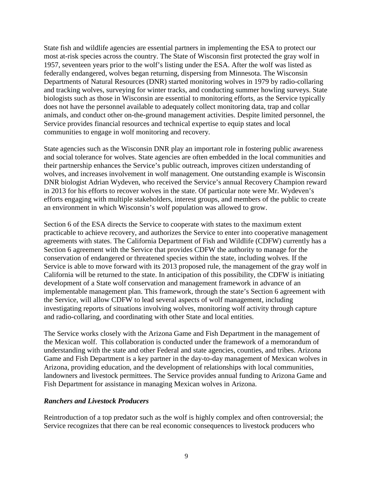State fish and wildlife agencies are essential partners in implementing the ESA to protect our most at-risk species across the country. The State of Wisconsin first protected the gray wolf in 1957, seventeen years prior to the wolf's listing under the ESA. After the wolf was listed as federally endangered, wolves began returning, dispersing from Minnesota. The Wisconsin Departments of Natural Resources (DNR) started monitoring wolves in 1979 by radio-collaring and tracking wolves, surveying for winter tracks, and conducting summer howling surveys. State biologists such as those in Wisconsin are essential to monitoring efforts, as the Service typically does not have the personnel available to adequately collect monitoring data, trap and collar animals, and conduct other on-the-ground management activities. Despite limited personnel, the Service provides financial resources and technical expertise to equip states and local communities to engage in wolf monitoring and recovery.

State agencies such as the Wisconsin DNR play an important role in fostering public awareness and social tolerance for wolves. State agencies are often embedded in the local communities and their partnership enhances the Service's public outreach, improves citizen understanding of wolves, and increases involvement in wolf management. One outstanding example is Wisconsin DNR biologist Adrian Wydeven, who received the Service's annual Recovery Champion reward in 2013 for his efforts to recover wolves in the state. Of particular note were Mr. Wydeven's efforts engaging with multiple stakeholders, interest groups, and members of the public to create an environment in which Wisconsin's wolf population was allowed to grow.

Section 6 of the ESA directs the Service to cooperate with states to the maximum extent practicable to achieve recovery, and authorizes the Service to enter into cooperative management agreements with states. The California Department of Fish and Wildlife (CDFW) currently has a Section 6 agreement with the Service that provides CDFW the authority to manage for the conservation of endangered or threatened species within the state, including wolves. If the Service is able to move forward with its 2013 proposed rule, the management of the gray wolf in California will be returned to the state. In anticipation of this possibility, the CDFW is initiating development of a State wolf conservation and management framework in advance of an implementable management plan. This framework, through the state's Section 6 agreement with the Service, will allow CDFW to lead several aspects of wolf management, including investigating reports of situations involving wolves, monitoring wolf activity through capture and radio-collaring, and coordinating with other State and local entities.

The Service works closely with the Arizona Game and Fish Department in the management of the Mexican wolf. This collaboration is conducted under the framework of a memorandum of understanding with the state and other Federal and state agencies, counties, and tribes. Arizona Game and Fish Department is a key partner in the day-to-day management of Mexican wolves in Arizona, providing education, and the development of relationships with local communities, landowners and livestock permittees. The Service provides annual funding to Arizona Game and Fish Department for assistance in managing Mexican wolves in Arizona.

## *Ranchers and Livestock Producers*

Reintroduction of a top predator such as the wolf is highly complex and often controversial; the Service recognizes that there can be real economic consequences to livestock producers who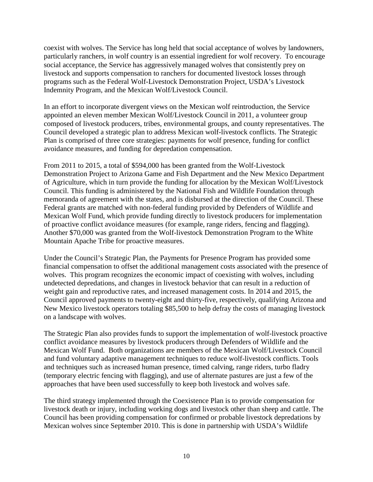coexist with wolves. The Service has long held that social acceptance of wolves by landowners, particularly ranchers, in wolf country is an essential ingredient for wolf recovery. To encourage social acceptance, the Service has aggressively managed wolves that consistently prey on livestock and supports compensation to ranchers for documented livestock losses through programs such as the Federal Wolf-Livestock Demonstration Project, USDA's Livestock Indemnity Program, and the Mexican Wolf/Livestock Council.

In an effort to incorporate divergent views on the Mexican wolf reintroduction, the Service appointed an eleven member Mexican Wolf/Livestock Council in 2011, a volunteer group composed of livestock producers, tribes, environmental groups, and county representatives. The Council developed a strategic plan to address Mexican wolf-livestock conflicts. The Strategic Plan is comprised of three core strategies: payments for wolf presence, funding for conflict avoidance measures, and funding for depredation compensation.

From 2011 to 2015, a total of \$594,000 has been granted from the Wolf-Livestock Demonstration Project to Arizona Game and Fish Department and the New Mexico Department of Agriculture, which in turn provide the funding for allocation by the Mexican Wolf/Livestock Council. This funding is administered by the National Fish and Wildlife Foundation through memoranda of agreement with the states, and is disbursed at the direction of the Council. These Federal grants are matched with non-federal funding provided by Defenders of Wildlife and Mexican Wolf Fund, which provide funding directly to livestock producers for implementation of proactive conflict avoidance measures (for example, range riders, fencing and flagging). Another \$70,000 was granted from the Wolf-livestock Demonstration Program to the White Mountain Apache Tribe for proactive measures.

Under the Council's Strategic Plan, the Payments for Presence Program has provided some financial compensation to offset the additional management costs associated with the presence of wolves. This program recognizes the economic impact of coexisting with wolves, including undetected depredations, and changes in livestock behavior that can result in a reduction of weight gain and reproductive rates, and increased management costs. In 2014 and 2015, the Council approved payments to twenty-eight and thirty-five, respectively, qualifying Arizona and New Mexico livestock operators totaling \$85,500 to help defray the costs of managing livestock on a landscape with wolves.

The Strategic Plan also provides funds to support the implementation of wolf-livestock proactive conflict avoidance measures by livestock producers through Defenders of Wildlife and the Mexican Wolf Fund. Both organizations are members of the Mexican Wolf/Livestock Council and fund voluntary adaptive management techniques to reduce wolf-livestock conflicts. Tools and techniques such as increased human presence, timed calving, range riders, turbo fladry (temporary electric fencing with flagging), and use of alternate pastures are just a few of the approaches that have been used successfully to keep both livestock and wolves safe.

The third strategy implemented through the Coexistence Plan is to provide compensation for livestock death or injury, including working dogs and livestock other than sheep and cattle. The Council has been providing compensation for confirmed or probable livestock depredations by Mexican wolves since September 2010. This is done in partnership with USDA's Wildlife